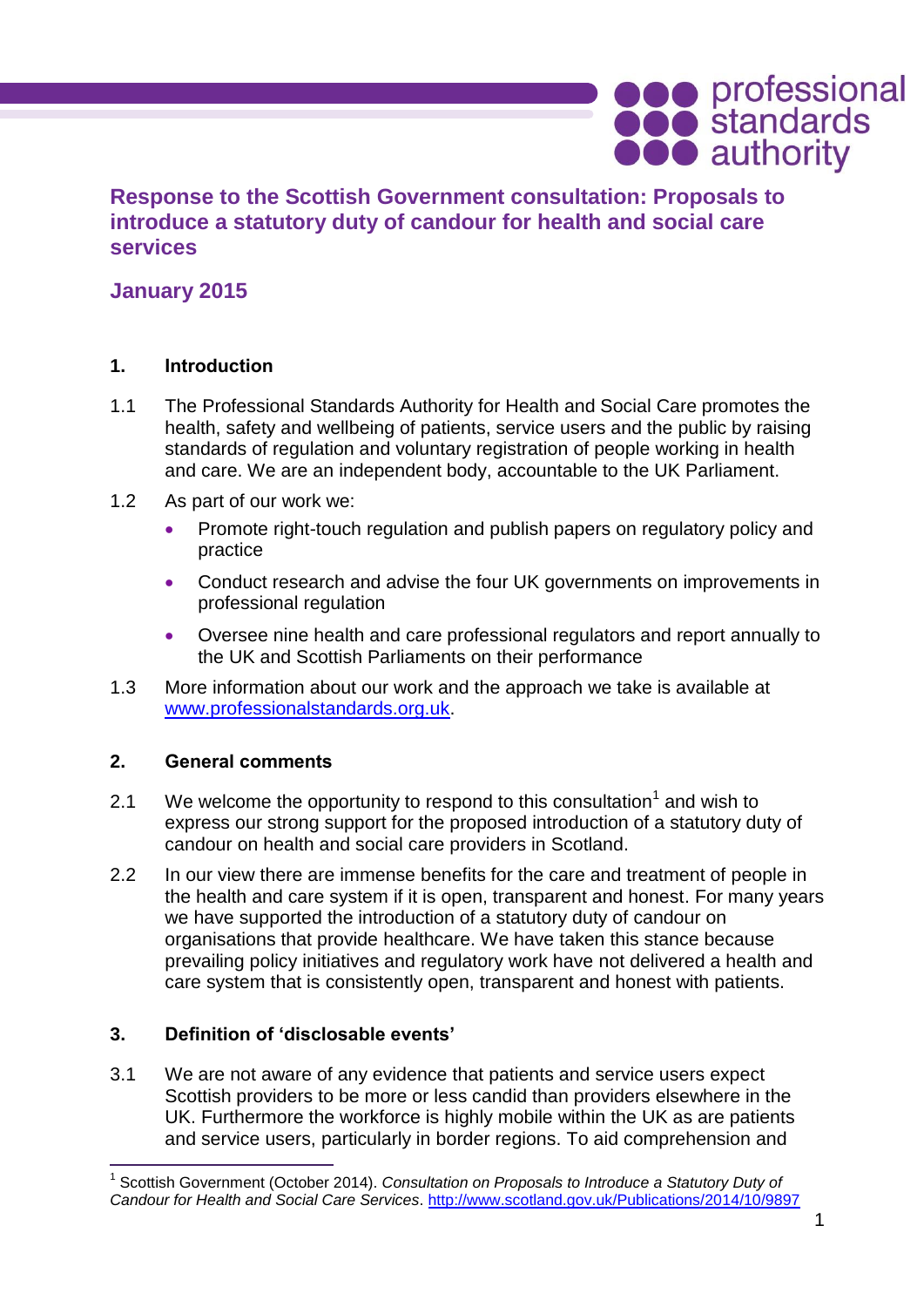# **Response to the Scottish Government consultation: Proposals to introduce a statutory duty of candour for health and social care services**

# **January 2015**

### **1. Introduction**

- 1.1 The Professional Standards Authority for Health and Social Care promotes the health, safety and wellbeing of patients, service users and the public by raising standards of regulation and voluntary registration of people working in health and care. We are an independent body, accountable to the UK Parliament.
- 1.2 As part of our work we:
	- Promote right-touch regulation and publish papers on regulatory policy and practice
	- Conduct research and advise the four UK governments on improvements in professional regulation
	- Oversee nine health and care professional regulators and report annually to the UK and Scottish Parliaments on their performance
- 1.3 More information about our work and the approach we take is available at [www.professionalstandards.org.uk.](http://www.professionalstandards.org.uk/)

### **2. General comments**

 $\overline{a}$ 

- 2.1 We welcome the opportunity to respond to this consultation<sup>1</sup> and wish to express our strong support for the proposed introduction of a statutory duty of candour on health and social care providers in Scotland.
- 2.2 In our view there are immense benefits for the care and treatment of people in the health and care system if it is open, transparent and honest. For many years we have supported the introduction of a statutory duty of candour on organisations that provide healthcare. We have taken this stance because prevailing policy initiatives and regulatory work have not delivered a health and care system that is consistently open, transparent and honest with patients.

### **3. Definition of 'disclosable events'**

3.1 We are not aware of any evidence that patients and service users expect Scottish providers to be more or less candid than providers elsewhere in the UK. Furthermore the workforce is highly mobile within the UK as are patients and service users, particularly in border regions. To aid comprehension and

**ODO** professional<br> **ODO** authority

<sup>1</sup> Scottish Government (October 2014). *Consultation on Proposals to Introduce a Statutory Duty of Candour for Health and Social Care Services*.<http://www.scotland.gov.uk/Publications/2014/10/9897>